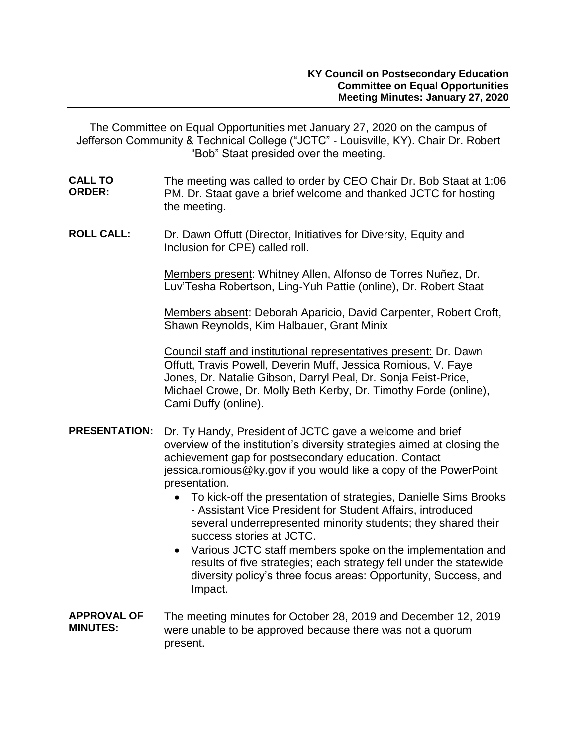The Committee on Equal Opportunities met January 27, 2020 on the campus of Jefferson Community & Technical College ("JCTC" - Louisville, KY). Chair Dr. Robert "Bob" Staat presided over the meeting.

- **CALL TO ORDER:**  The meeting was called to order by CEO Chair Dr. Bob Staat at 1:06 PM. Dr. Staat gave a brief welcome and thanked JCTC for hosting the meeting.
- **ROLL CALL:** Dr. Dawn Offutt (Director, Initiatives for Diversity, Equity and Inclusion for CPE) called roll.

Members present: Whitney Allen, Alfonso de Torres Nuñez, Dr. Luv'Tesha Robertson, Ling-Yuh Pattie (online), Dr. Robert Staat

Members absent: Deborah Aparicio, David Carpenter, Robert Croft, Shawn Reynolds, Kim Halbauer, Grant Minix

Council staff and institutional representatives present: Dr. Dawn Offutt, Travis Powell, Deverin Muff, Jessica Romious, V. Faye Jones, Dr. Natalie Gibson, Darryl Peal, Dr. Sonja Feist-Price, Michael Crowe, Dr. Molly Beth Kerby, Dr. Timothy Forde (online), Cami Duffy (online).

- **PRESENTATION:** Dr. Ty Handy, President of JCTC gave a welcome and brief overview of the institution's diversity strategies aimed at closing the achievement gap for postsecondary education. Contact jessica.romious@ky.gov if you would like a copy of the PowerPoint presentation.
	- To kick-off the presentation of strategies, Danielle Sims Brooks - Assistant Vice President for Student Affairs, introduced several underrepresented minority students; they shared their success stories at JCTC.
	- Various JCTC staff members spoke on the implementation and results of five strategies; each strategy fell under the statewide diversity policy's three focus areas: Opportunity, Success, and Impact.
- **APPROVAL OF MINUTES:** The meeting minutes for October 28, 2019 and December 12, 2019 were unable to be approved because there was not a quorum present.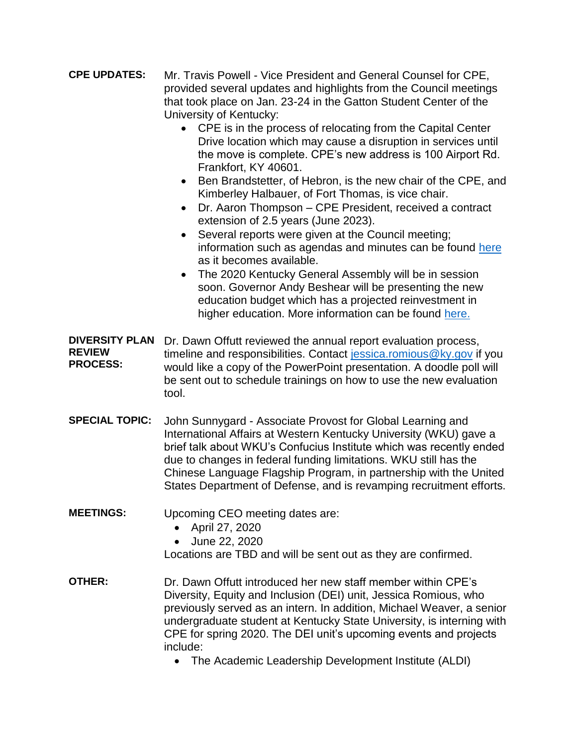- **CPE UPDATES:** Mr. Travis Powell Vice President and General Counsel for CPE, provided several updates and highlights from the Council meetings that took place on Jan. 23-24 in the Gatton Student Center of the University of Kentucky:
	- CPE is in the process of relocating from the Capital Center Drive location which may cause a disruption in services until the move is complete. CPE's new address is 100 Airport Rd. Frankfort, KY 40601.
	- Ben Brandstetter, of Hebron, is the new chair of the CPE, and Kimberley Halbauer, of Fort Thomas, is vice chair.
	- Dr. Aaron Thompson CPE President, received a contract extension of 2.5 years (June 2023).
	- Several reports were given at the Council meeting; information such as agendas and minutes can be found [here](http://cpe.ky.gov/aboutus/cpemeetings.html) as it becomes available.
	- The 2020 Kentucky General Assembly will be in session soon. Governor Andy Beshear will be presenting the new education budget which has a projected reinvestment in higher education. More information can be found [here.](https://apps.legislature.ky.gov/record/20rs/record.html)

**DIVERSITY PLAN**  Dr. Dawn Offutt reviewed the annual report evaluation process, **REVIEW PROCESS:** timeline and responsibilities. Contact [jessica.romious@ky.gov](mailto:jessica.romious@ky.gov) if you would like a copy of the PowerPoint presentation. A doodle poll will be sent out to schedule trainings on how to use the new evaluation tool.

- **SPECIAL TOPIC:** John Sunnygard Associate Provost for Global Learning and International Affairs at Western Kentucky University (WKU) gave a brief talk about WKU's Confucius Institute which was recently ended due to changes in federal funding limitations. WKU still has the Chinese Language Flagship Program, in partnership with the United States Department of Defense, and is revamping recruitment efforts.
- **MEETINGS:** Upcoming CEO meeting dates are:
	- April 27, 2020
	- June 22, 2020

Locations are TBD and will be sent out as they are confirmed.

- **OTHER:** Dr. Dawn Offutt introduced her new staff member within CPE's Diversity, Equity and Inclusion (DEI) unit, Jessica Romious, who previously served as an intern. In addition, Michael Weaver, a senior undergraduate student at Kentucky State University, is interning with CPE for spring 2020. The DEI unit's upcoming events and projects include:
	- The Academic Leadership Development Institute (ALDI)